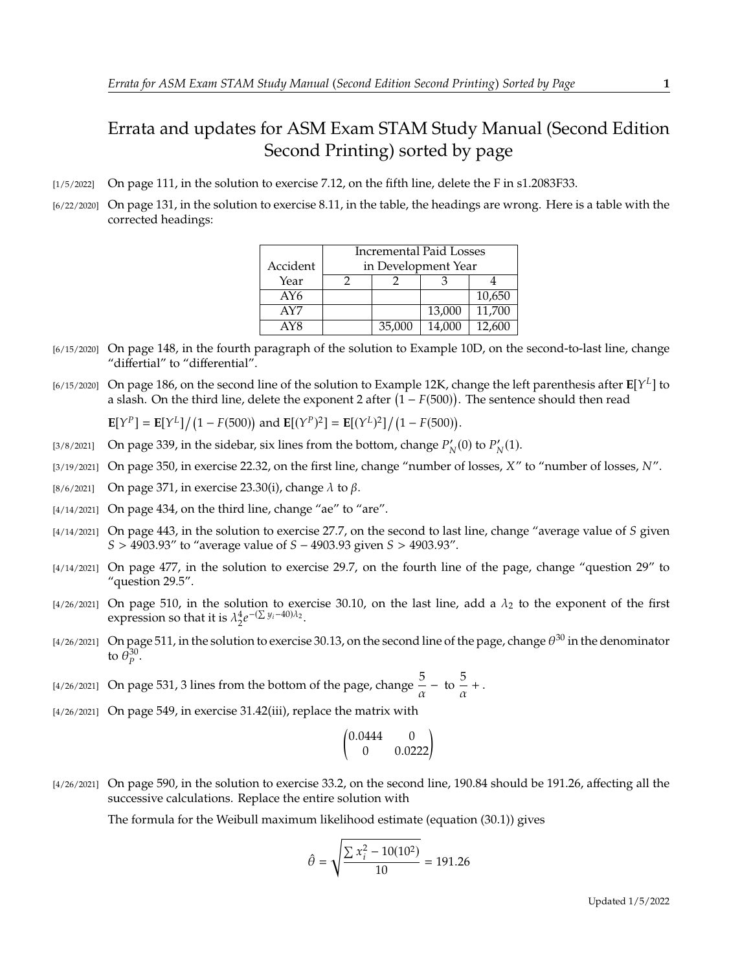## Errata and updates for ASM Exam STAM Study Manual (Second Edition Second Printing) sorted by page

- [1/5/2022] On page 111, in the solution to exercise 7.12, on the fifth line, delete the F in s1.2083F33.
- [6/22/2020] On page 131, in the solution to exercise 8.11, in the table, the headings are wrong. Here is a table with the corrected headings:

|          | <b>Incremental Paid Losses</b> |        |        |        |
|----------|--------------------------------|--------|--------|--------|
| Accident | in Development Year            |        |        |        |
| Year     |                                |        |        |        |
| AY6      |                                |        |        | 10,650 |
| AY7      |                                |        | 13,000 | 11,700 |
| AY8      |                                | 35,000 | 14.000 | 12.600 |

- [6/15/2020] On page 148, in the fourth paragraph of the solution to Example 10D, on the second-to-last line, change "differtial" to "differential".
- [6/15/2020] On page 186, on the second line of the solution to Example 12K, change the left parenthesis after  $\mathbb{E}[Y^L]$  to a slash. On the third line, delete the exponent 2 after  $(1 - F(500))$ . The sentence should then read

 $\mathbf{E}[Y^P] = \mathbf{E}[Y^L]/(1 - F(500))$  and  $\mathbf{E}[(Y^P)^2] = \mathbf{E}[(Y^L)^2]/(1 - F(500)).$ 

- [3/8/2021] On page 339, in the sidebar, six lines from the bottom, change  $P'_N(0)$  to  $P'_N(1)$ .
- [3/19/2021] On page 350, in exercise 22.32, on the first line, change "number of losses,  $X''$  to "number of losses,  $N''$ .
- [8/6/2021] On page 371, in exercise 23.30(i), change  $\lambda$  to  $\beta$ .
- $[4/14/2021]$  On page 434, on the third line, change "ae" to "are".
- $[4/14/2021]$  On page 443, in the solution to exercise 27.7, on the second to last line, change "average value of S given  $S > 4903.93''$  to "average value of  $S - 4903.93$  given  $S > 4903.93''$ .
- [4/14/2021] On page 477, in the solution to exercise 29.7, on the fourth line of the page, change "question 29" to "question 29.5".
- [4/26/2021] On page 510, in the solution to exercise 30.10, on the last line, add a  $\lambda_2$  to the exponent of the first expression so that it is  $\lambda_2^4 e$  $-(\sum y_i - 40)\lambda_2$ .
- [4/26/2021] On page 511, in the solution to exercise 30.13, on the second line of the page, change  $\theta^{30}$  in the denominator to  $\bar{\theta}_p^{30}$ .
- [4/26/2021] On page 531, 3 lines from the bottom of the page, change  $\frac{5}{\alpha}$  to  $\frac{5}{\alpha}$  $\frac{\partial}{\partial x} +$ .
- [4/26/2021] On page 549, in exercise 31.42(iii), replace the matrix with

$$
\begin{pmatrix} 0.0444 & 0 \\ 0 & 0.0222 \end{pmatrix}
$$

[4/26/2021] On page 590, in the solution to exercise 33.2, on the second line, 190.84 should be 191.26, affecting all the successive calculations. Replace the entire solution with

The formula for the Weibull maximum likelihood estimate (equation (30.1)) gives

$$
\hat{\theta} = \sqrt{\frac{\sum x_i^2 - 10(10^2)}{10}} = 191.26
$$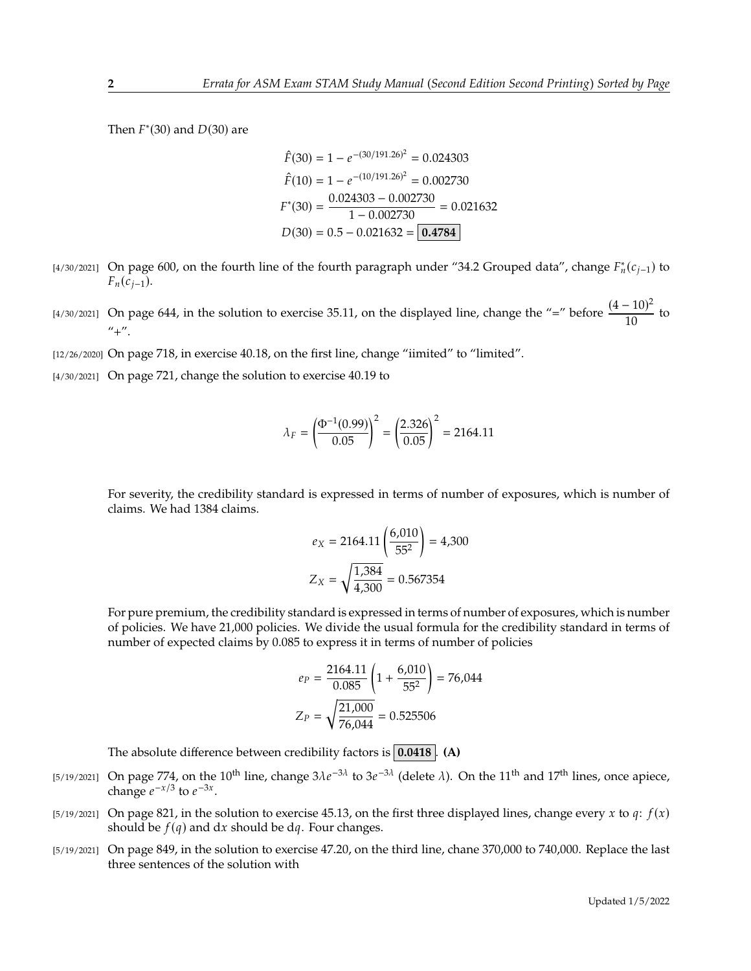Then  $F^*(30)$  and  $D(30)$  are

$$
\hat{F}(30) = 1 - e^{-(30/191.26)^2} = 0.024303
$$

$$
\hat{F}(10) = 1 - e^{-(10/191.26)^2} = 0.002730
$$

$$
F^*(30) = \frac{0.024303 - 0.002730}{1 - 0.002730} = 0.021632
$$

$$
D(30) = 0.5 - 0.021632 = \boxed{0.4784}
$$

- [4/30/2021] On page 600, on the fourth line of the fourth paragraph under "34.2 Grouped data", change  $F_n^*(c_{j-1})$  to  $F_n(c_{i-1}).$
- [4/30/2021] On page 644, in the solution to exercise 35.11, on the displayed line, change the "=" before  $\frac{(4-10)^2}{10}$  $\frac{10}{10}$  to  $" +"$ .
- [12/26/2020] On page 718, in exercise 40.18, on the first line, change "iimited" to "limited".
- [4/30/2021] On page 721, change the solution to exercise 40.19 to

$$
\lambda_F = \left(\frac{\Phi^{-1}(0.99)}{0.05}\right)^2 = \left(\frac{2.326}{0.05}\right)^2 = 2164.11
$$

For severity, the credibility standard is expressed in terms of number of exposures, which is number of claims. We had 1384 claims.

$$
e_X = 2164.11 \left( \frac{6,010}{55^2} \right) = 4,300
$$

$$
Z_X = \sqrt{\frac{1,384}{4,300}} = 0.567354
$$

For pure premium, the credibility standard is expressed in terms of number of exposures, which is number of policies. We have 21,000 policies. We divide the usual formula for the credibility standard in terms of number of expected claims by 0.085 to express it in terms of number of policies

$$
e_P = \frac{2164.11}{0.085} \left( 1 + \frac{6,010}{55^2} \right) = 76,044
$$

$$
Z_P = \sqrt{\frac{21,000}{76,044}} = 0.525506
$$

The absolute difference between credibility factors is **0.0418** . **(A)**

- [5/19/2021] On page 774, on the 10<sup>th</sup> line, change  $3\lambda e^{-3\lambda}$  to  $3e^{-3\lambda}$  (delete  $\lambda$ ). On the 11<sup>th</sup> and 17<sup>th</sup> lines, once apiece, change  $e^{-x/3}$  to  $e^{-3x}$ change  $e^{-x/3}$  to  $e^{-3x}$ .
- [5/19/2021] On page 821, in the solution to exercise 45.13, on the first three displayed lines, change every x to q:  $f(x)$ should be  $f(q)$  and dx should be dq. Four changes.
- [5/19/2021] On page 849, in the solution to exercise 47.20, on the third line, chane 370,000 to 740,000. Replace the last three sentences of the solution with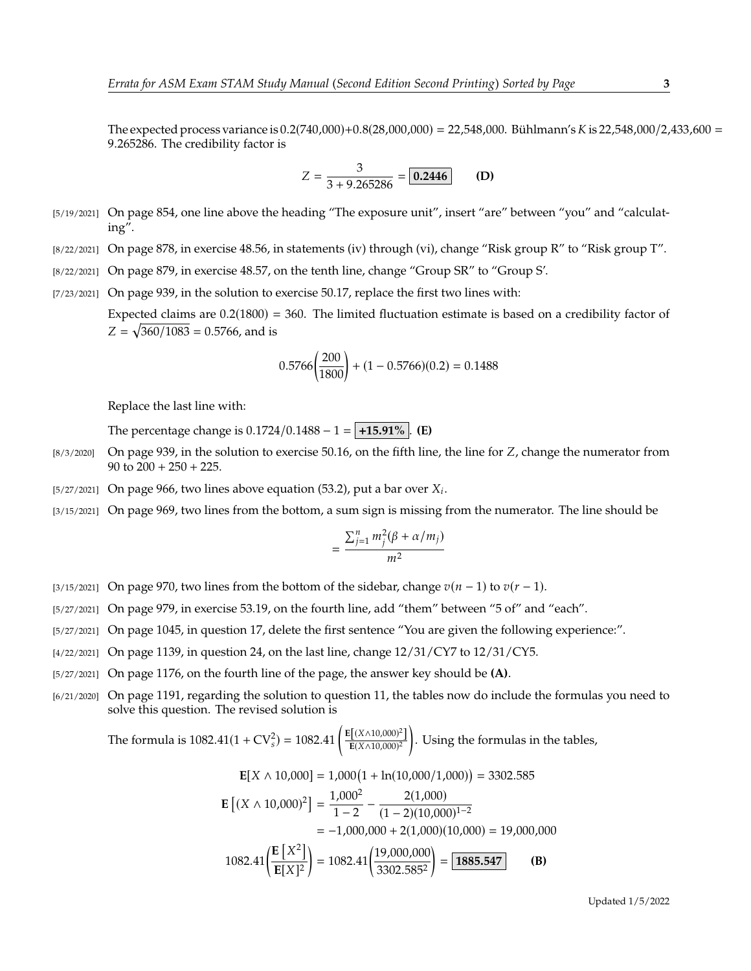The expected process variance is  $0.2(740,000)+0.8(28,000,000) = 22,548,000$ . Bühlmann's K is 22,548,000/2,433,600 = <sup>9</sup>.265286. The credibility factor is

$$
Z = \frac{3}{3 + 9.265286} = \boxed{0.2446}
$$
 (D)

- [5/19/2021] On page 854, one line above the heading "The exposure unit", insert "are" between "you" and "calculating".
- [8/22/2021] On page 878, in exercise 48.56, in statements (iv) through (vi), change "Risk group R" to "Risk group T".
- [8/22/2021] On page 879, in exercise 48.57, on the tenth line, change "Group SR" to "Group S'.
- [7/23/2021] On page 939, in the solution to exercise 50.17, replace the first two lines with:

Expected claims are  $0.2(1800) = 360$ . The limited fluctuation estimate is based on a credibility factor of  $Z = \sqrt{360/1083} = 0.5766$ , and is

$$
0.5766 \left(\frac{200}{1800}\right) + (1 - 0.5766)(0.2) = 0.1488
$$

Replace the last line with:

The percentage change is  $0.1724/0.1488 - 1 = +15.91\%$ . **(E)** 

- $[8/3/2020]$  On page 939, in the solution to exercise 50.16, on the fifth line, the line for Z, change the numerator from 90 to  $200 + 250 + 225$ .
- [5/27/2021] On page 966, two lines above equation (53.2), put a bar over  $X_i$ .
- [3/15/2021] On page 969, two lines from the bottom, a sum sign is missing from the numerator. The line should be

$$
=\frac{\sum_{j=1}^{n}m_j^2(\beta+\alpha/m_j)}{m^2}
$$

- [3/15/2021] On page 970, two lines from the bottom of the sidebar, change  $v(n 1)$  to  $v(r 1)$ .
- [5/27/2021] On page 979, in exercise 53.19, on the fourth line, add "them" between "5 of" and "each".
- [5/27/2021] On page 1045, in question 17, delete the first sentence "You are given the following experience:".
- [4/22/2021] On page 1139, in question 24, on the last line, change 12/31/CY7 to 12/31/CY5.
- [5/27/2021] On page 1176, on the fourth line of the page, the answer key should be **(A)**.
- [6/21/2020] On page 1191, regarding the solution to question 11, the tables now do include the formulas you need to solve this question. The revised solution is

The formula is  $1082.41(1 + CV_s^2) = 1082.41 \left( \frac{E[(X \land 10,000)^2]}{E(X \land 10,000)^2} \right)$  $E(X \wedge 10,000)^2$ . Using the formulas in the tables,

$$
E[X \wedge 10,000] = 1,000(1 + \ln(10,000/1,000)) = 3302.585
$$

$$
\mathbf{E} [(X \wedge 10,000)^2] = \frac{1,000^2}{1-2} - \frac{2(1,000)}{(1-2)(10,000)^{1-2}}
$$

$$
\begin{aligned} \text{10,000} & \text{J} = \frac{1 - 2}{1 - 2} - \frac{(1 - 2)(10,000)^{1 - 2}}{(1 - 2)(10,000)^{1 - 2}} \\ &= -1,000,000 + 2(1,000)(10,000) = 19,000,000 \end{aligned}
$$

1082.41 
$$
\left(\frac{\mathbf{E}\left[X^2\right]}{\mathbf{E}[X]^2}\right) = 1082.41 \left(\frac{19,000,000}{3302.585^2}\right) = \boxed{\mathbf{1885.547}}
$$
 (B)